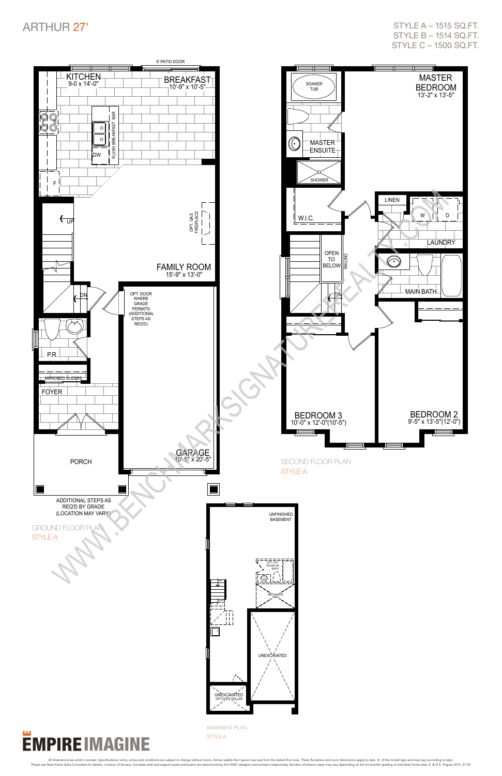

### ARTHUR 27'

style a – 1515 sq.ft. style b – 1514 sq.ft. style c – 1500 sq.ft.

basement plan style A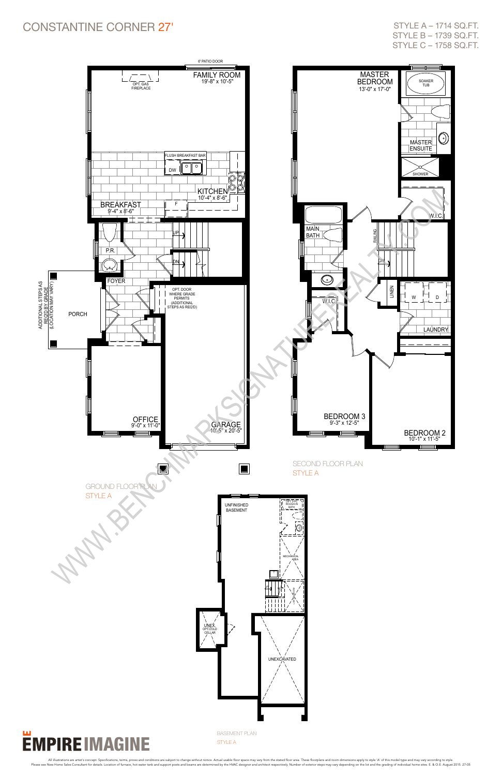#### Constantine corner 27'



## **EMPIRE IMAGINE**

style a – 1714 sq.ft. style b – 1739 sq.ft. style c – 1758 sq.ft.

basement plan

#### style A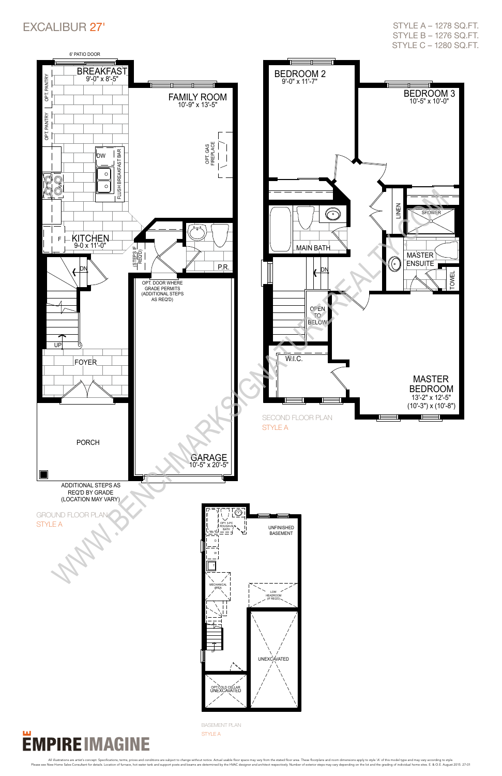

### excalibur 27'



style a – 1278 sq.ft. style b – 1276 sq.ft. style c – 1280 sq.ft.

basement plan

#### style A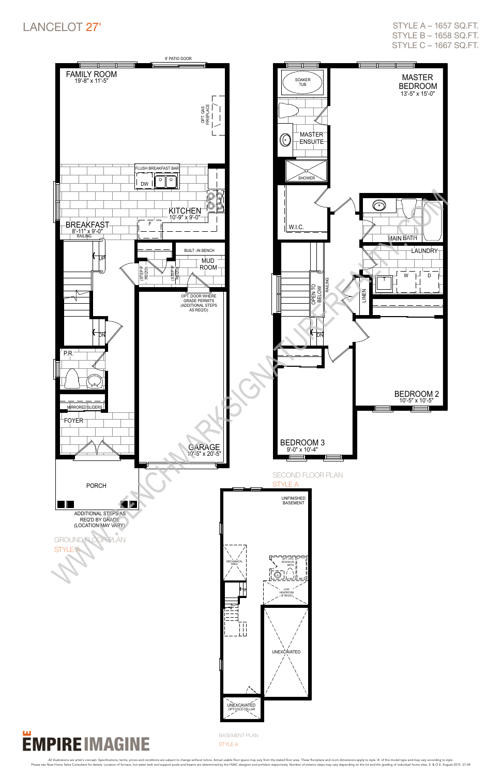

### LANCELOT 27'

style a – 1657 sq.ft. style b – 1658 sq.ft. style c – 1667 sq.ft.

basement plan

#### style A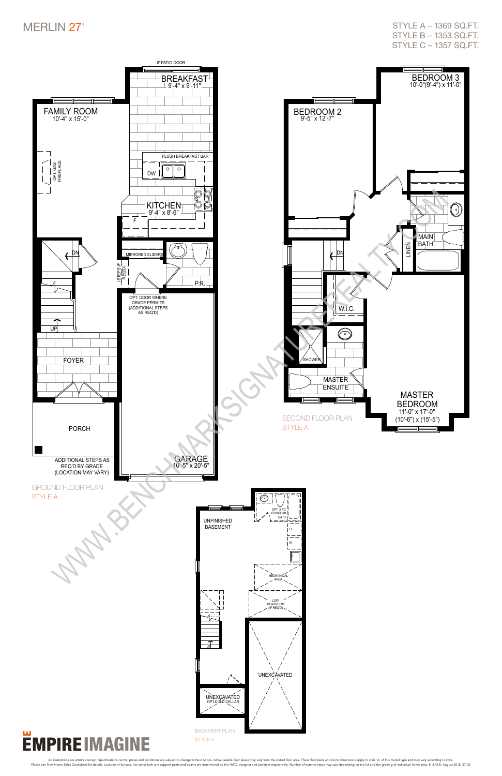

STYLE A

All illustrations are artist's concept. Specifications, terms, prices and conditions are subject to change without notice. Actual usable floor space may vary from the stated floor area. These floorplans and como dimensions

### MERLIN 27'

style a – 1369 sq.ft. style b – 1353 sq.ft. style c – 1357 sq.ft.